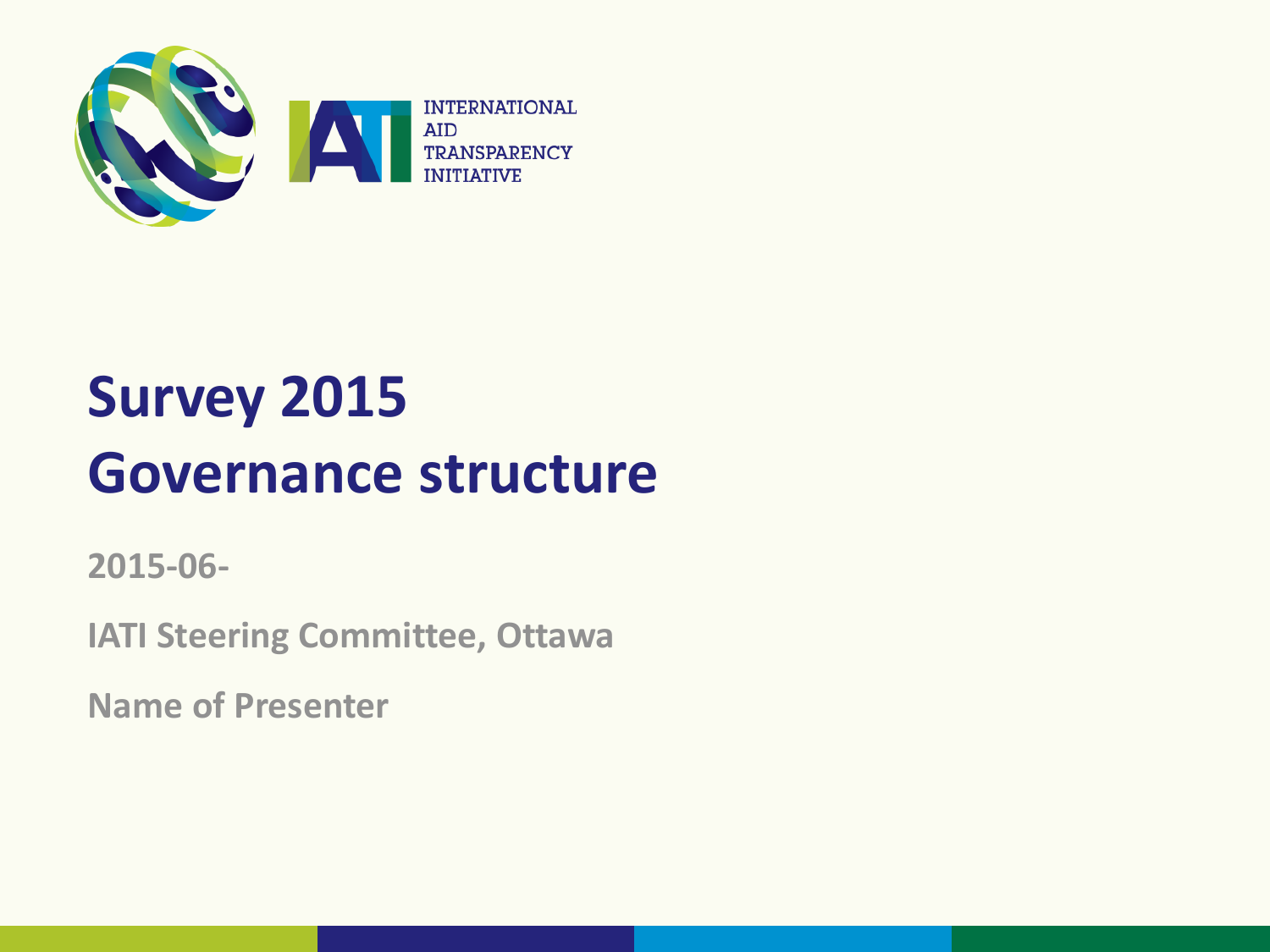

# **Survey 2015 Governance structure**

**2015-06-**

**IATI Steering Committee, Ottawa**

**Name of Presenter**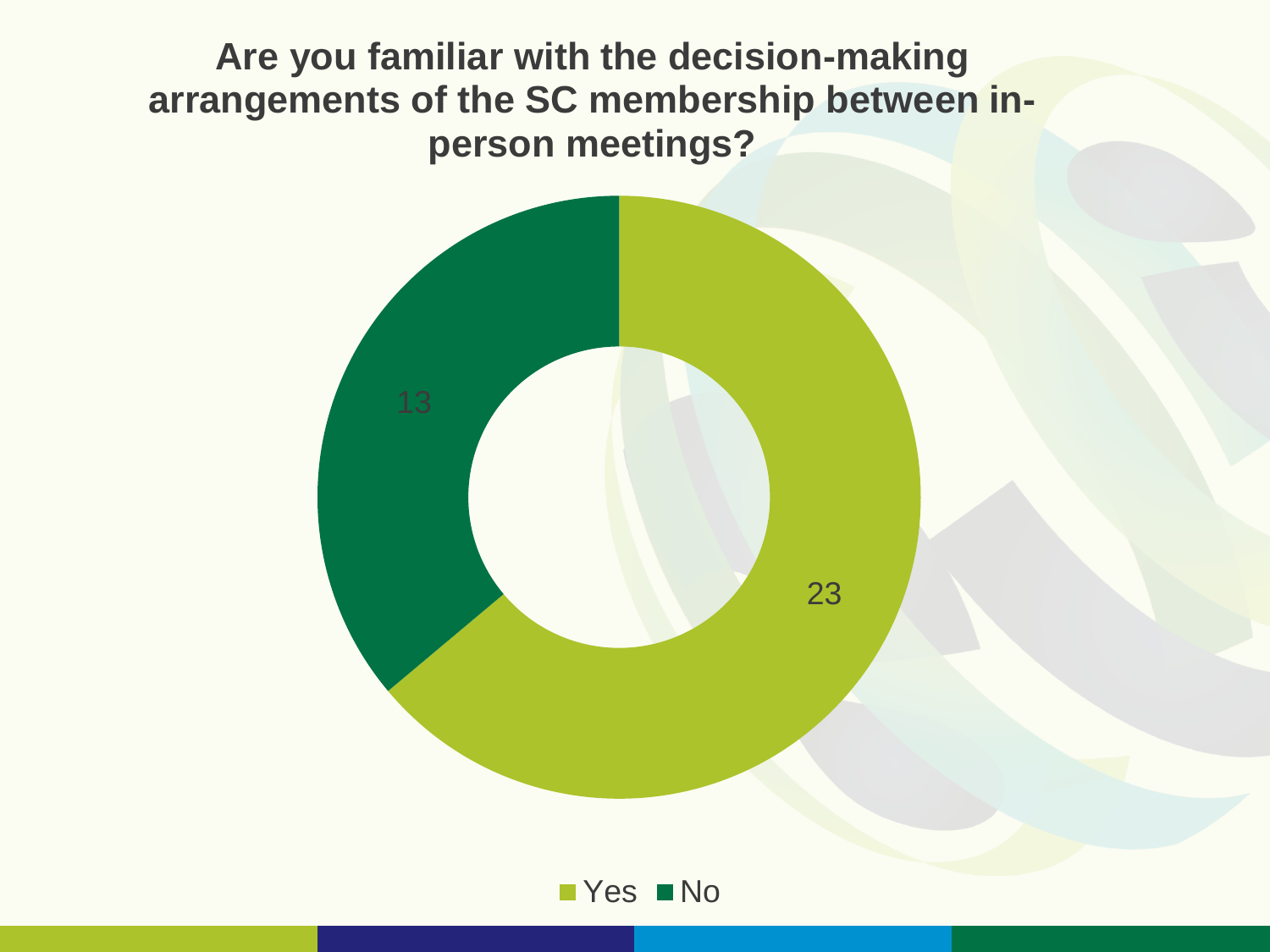### **Are you familiar with the decision-making arrangements of the SC membership between inperson meetings?**



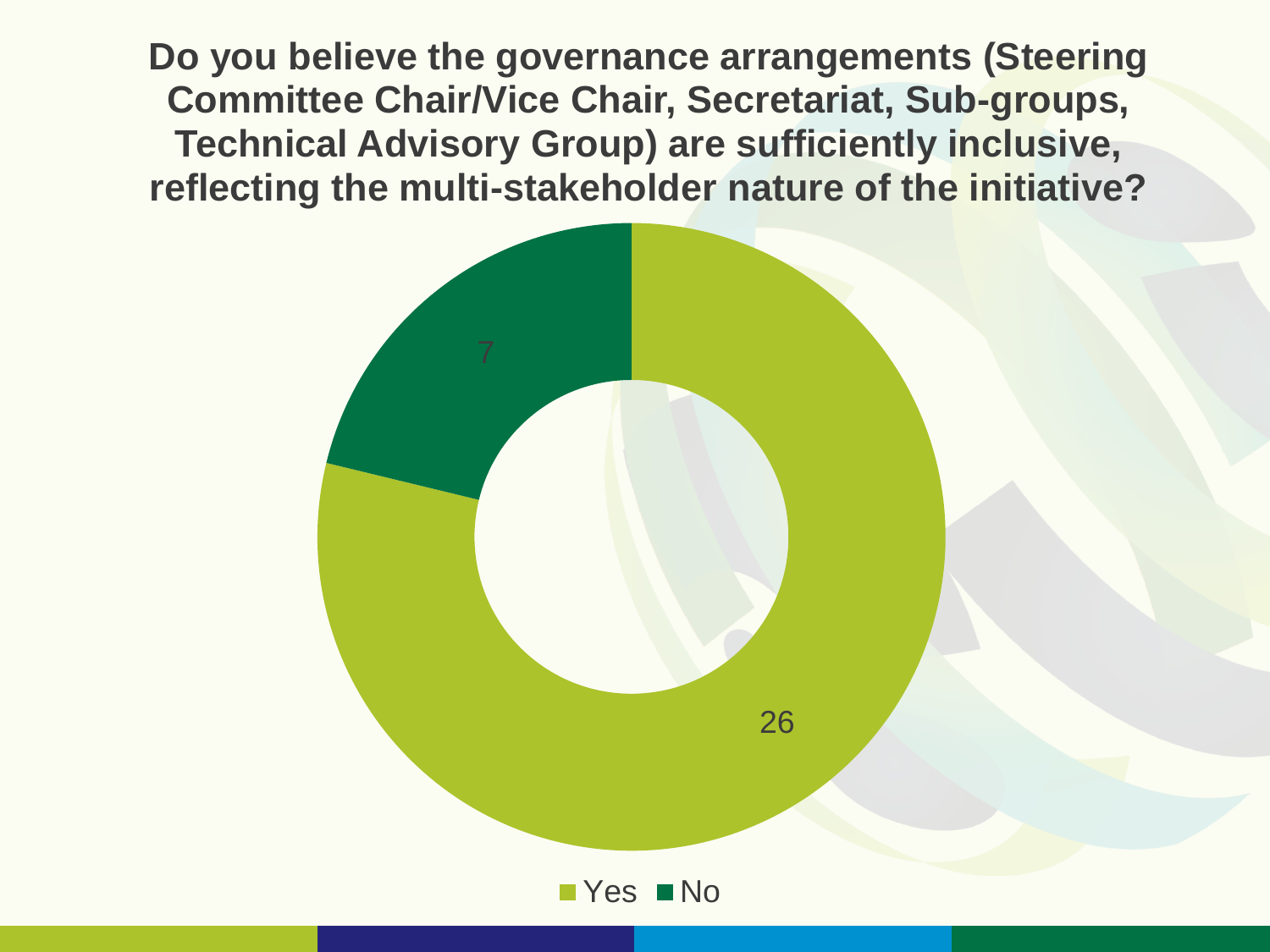**Do you believe the governance arrangements (Steering Committee Chair/Vice Chair, Secretariat, Sub-groups, Technical Advisory Group) are sufficiently inclusive, reflecting the multi-stakeholder nature of the initiative?**

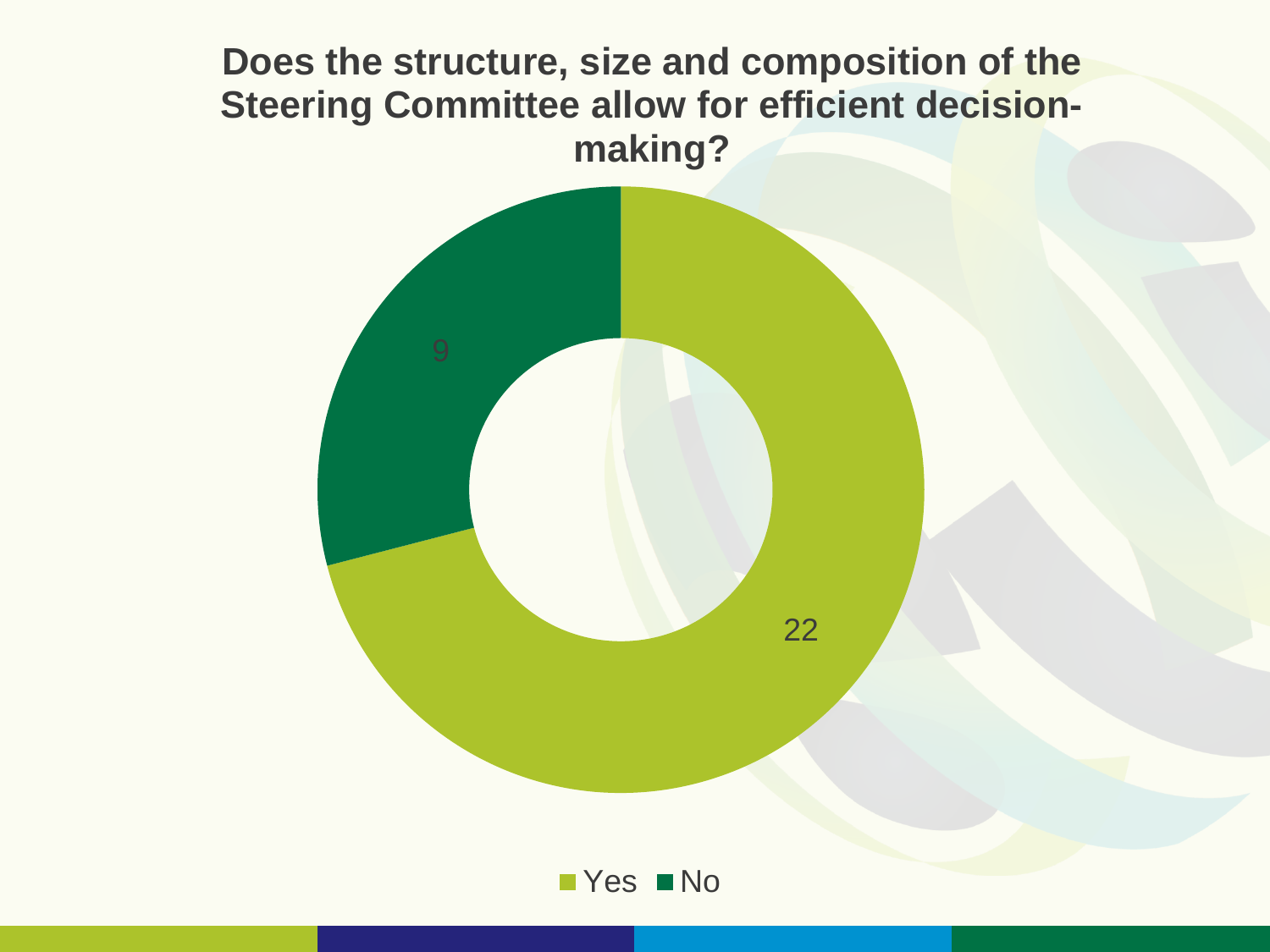### **Does the structure, size and composition of the Steering Committee allow for efficient decisionmaking?**



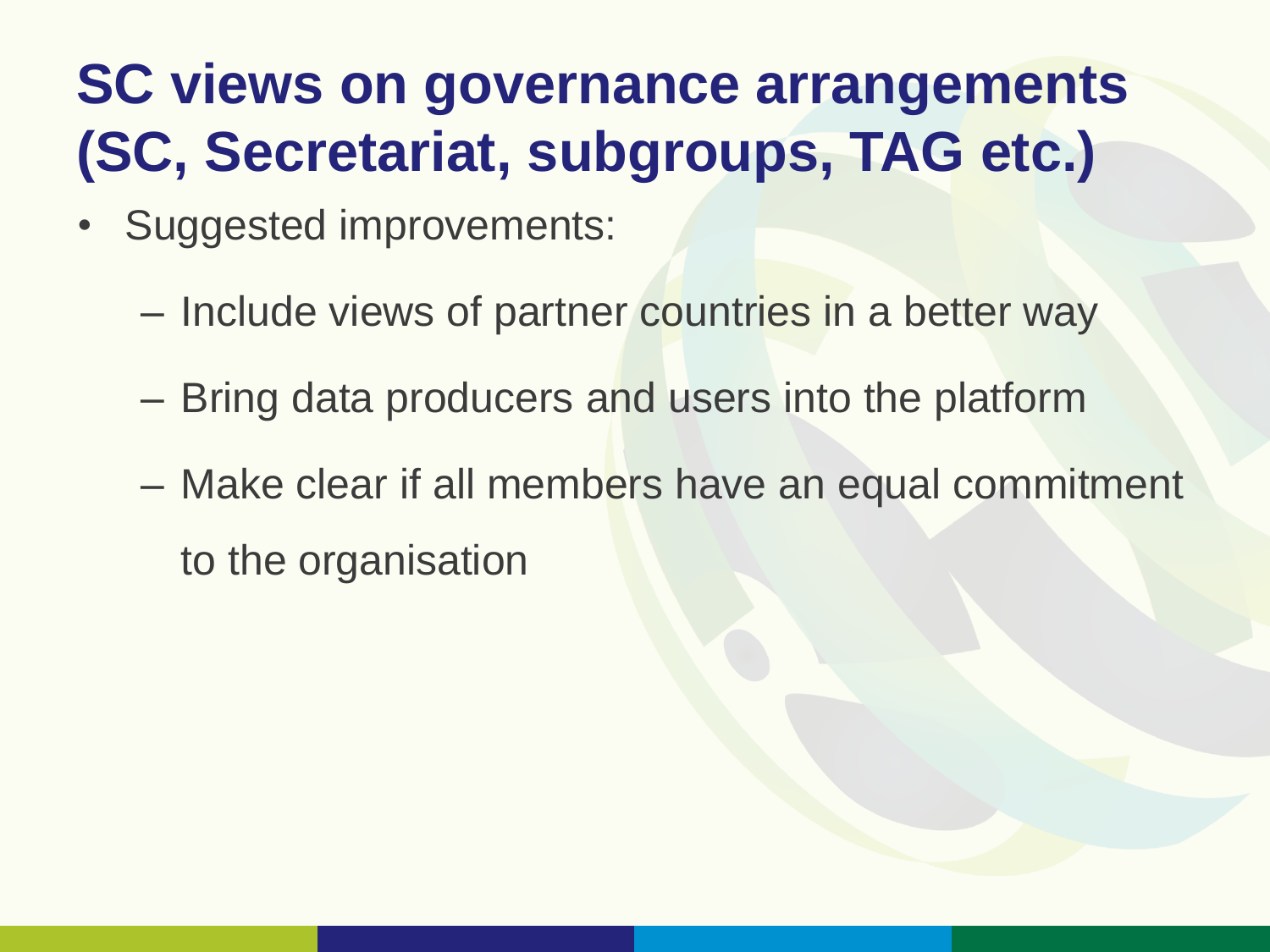### **SC views on governance arrangements (SC, Secretariat, subgroups, TAG etc.)**

- Suggested improvements:
	- Include views of partner countries in a better way
	- Bring data producers and users into the platform
	- Make clear if all members have an equal commitment to the organisation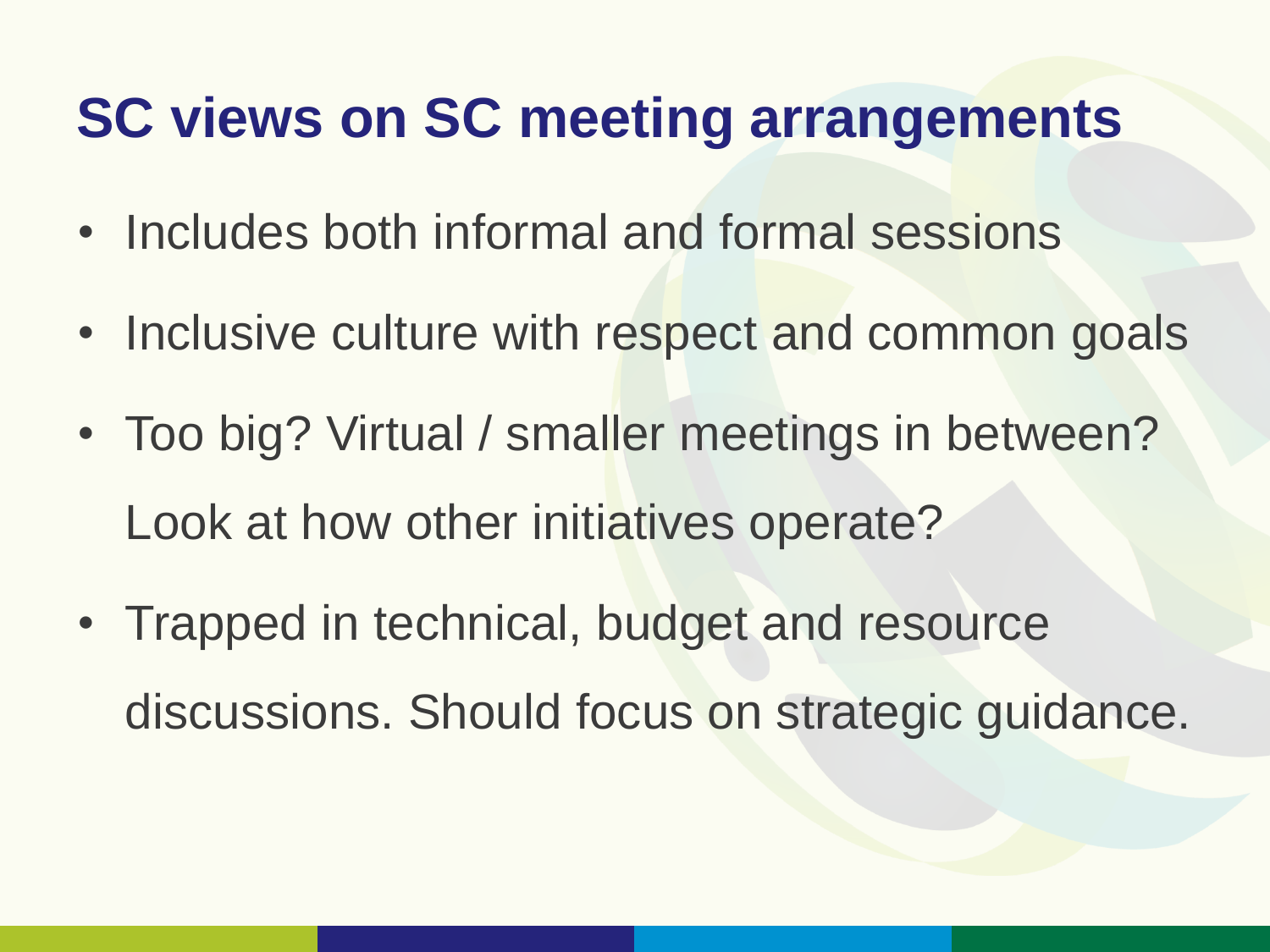### **SC views on SC meeting arrangements**

- Includes both informal and formal sessions
- Inclusive culture with respect and common goals
- Too big? Virtual / smaller meetings in between? Look at how other initiatives operate?
- Trapped in technical, budget and resource discussions. Should focus on strategic guidance.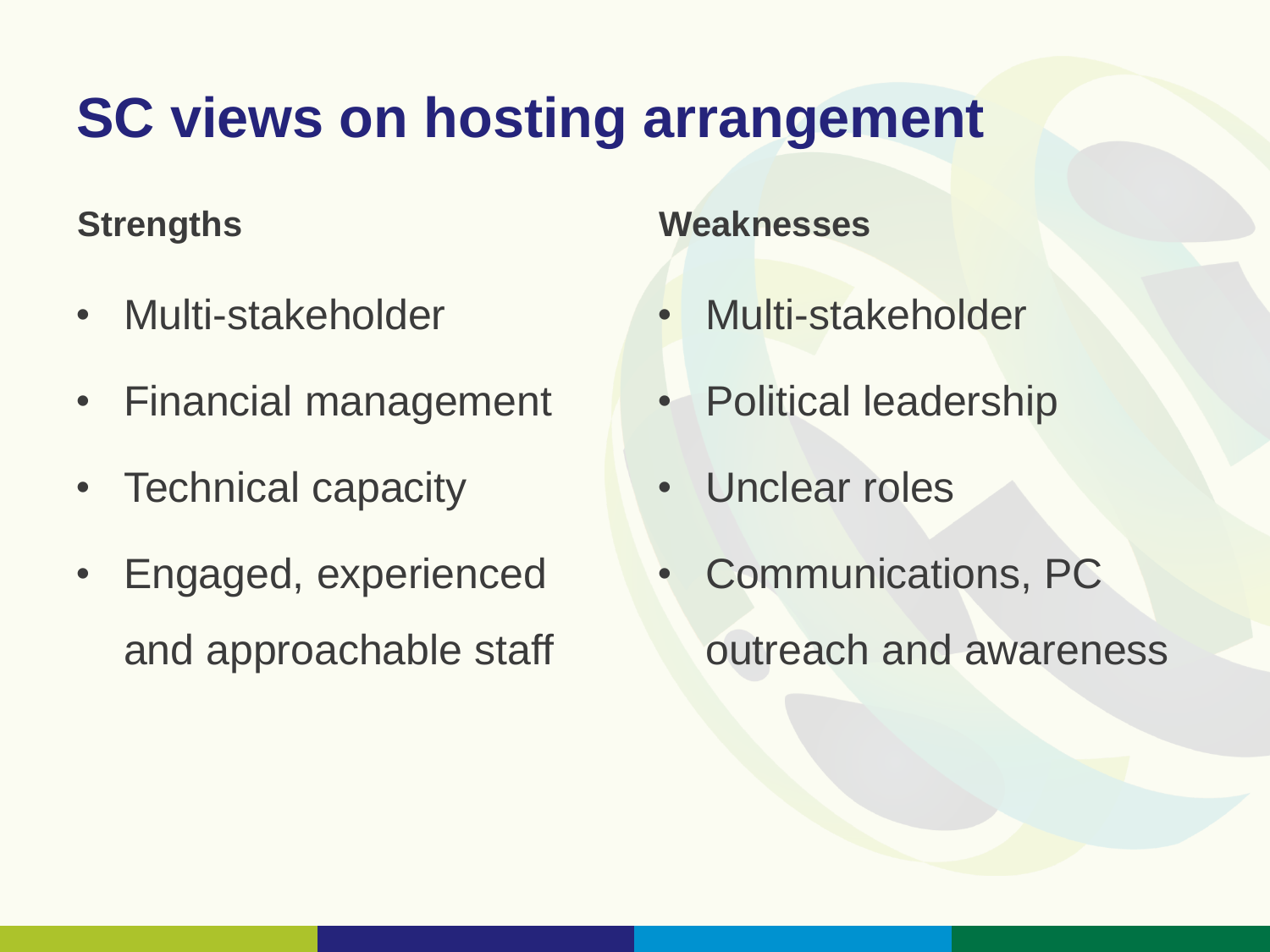## **SC views on hosting arrangement**

#### **Strengths**

- Multi-stakeholder
- Financial management
- Technical capacity
- Engaged, experienced and approachable staff

#### **Weaknesses**

- Multi-stakeholder
- Political leadership
- Unclear roles
- Communications, PC outreach and awareness